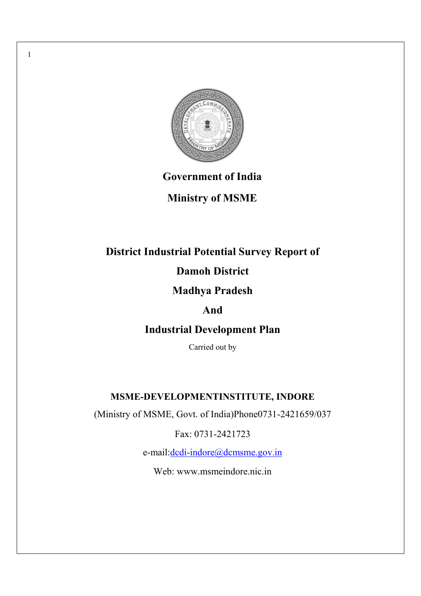

1

# **Government of India**

# **Ministry of MSME**

# **District Industrial Potential Survey Report of**

# **Damoh District**

# **Madhya Pradesh**

# **And**

# **Industrial Development Plan**

Carried out by

# **MSME-DEVELOPMENTINSTITUTE, INDORE**

(Ministry of MSME, Govt. of India)Phone0731-2421659/037

Fax: 0731-2421723

e-mail:dcdi-indore@dcmsme.gov.in

Web: www.msmeindore.nic.in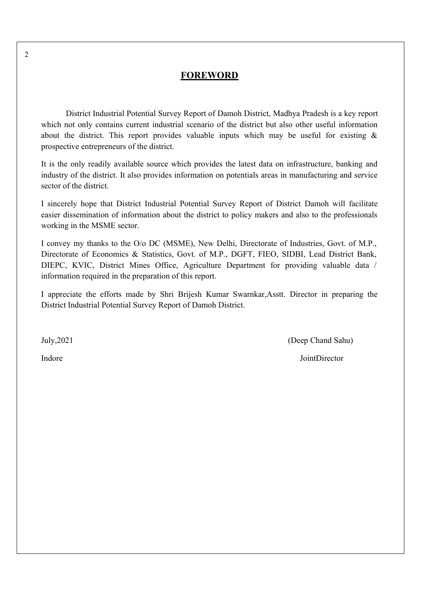## **FOREWORD**

District Industrial Potential Survey Report of Damoh District, Madhya Pradesh is a key report which not only contains current industrial scenario of the district but also other useful information about the district. This report provides valuable inputs which may be useful for existing  $\&$ prospective entrepreneurs of the district.

It is the only readily available source which provides the latest data on infrastructure, banking and industry of the district. It also provides information on potentials areas in manufacturing and service sector of the district.

I sincerely hope that District Industrial Potential Survey Report of District Damoh will facilitate easier dissemination of information about the district to policy makers and also to the professionals working in the MSME sector.

I convey my thanks to the O/o DC (MSME), New Delhi, Directorate of Industries, Govt. of M.P., Directorate of Economics & Statistics, Govt. of M.P., DGFT, FIEO, SIDBI, Lead District Bank, DIEPC, KVIC, District Mines Office, Agriculture Department for providing valuable data / information required in the preparation of this report.

I appreciate the efforts made by Shri Brijesh Kumar Swarnkar,Asstt. Director in preparing the District Industrial Potential Survey Report of Damoh District.

July,2021 (Deep Chand Sahu)

**Indore** JointDirector

 $\mathfrak{Z}$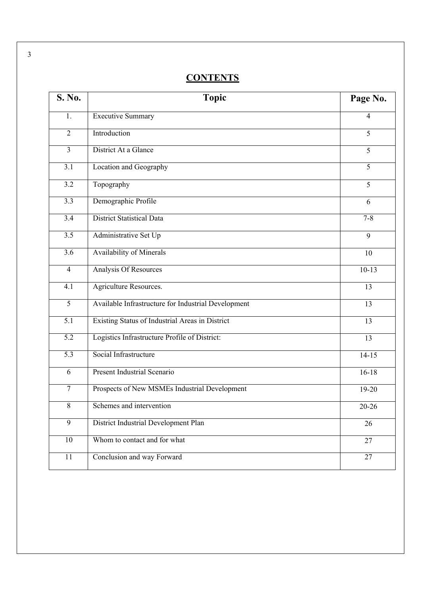# **CONTENTS**

| S. No.           | <b>Topic</b>                                        | Page No.       |
|------------------|-----------------------------------------------------|----------------|
| 1.               | <b>Executive Summary</b>                            | $\overline{4}$ |
| $\overline{2}$   | Introduction                                        | 5              |
| $\overline{3}$   | District At a Glance                                | 5              |
| 3.1              | Location and Geography                              | 5              |
| 3.2              | Topography                                          | 5              |
| 3.3              | Demographic Profile                                 | 6              |
| $\overline{3.4}$ | <b>District Statistical Data</b>                    | $7 - 8$        |
| $\overline{3.5}$ | Administrative Set Up                               | 9              |
| 3.6              | <b>Availability of Minerals</b>                     | 10             |
| $\overline{4}$   | Analysis Of Resources                               | $10-13$        |
| 4.1              | Agriculture Resources.                              | 13             |
| $\overline{5}$   | Available Infrastructure for Industrial Development | 13             |
| 5.1              | Existing Status of Industrial Areas in District     | 13             |
| 5.2              | Logistics Infrastructure Profile of District:       | 13             |
| $\overline{5.3}$ | Social Infrastructure                               | $14 - 15$      |
| 6                | <b>Present Industrial Scenario</b>                  | $16 - 18$      |
| $\overline{7}$   | Prospects of New MSMEs Industrial Development       | 19-20          |
| $8\,$            | Schemes and intervention                            | $20 - 26$      |
| 9                | District Industrial Development Plan                | 26             |
| $10\,$           | Whom to contact and for what                        | 27             |
| 11               | Conclusion and way Forward                          | 27             |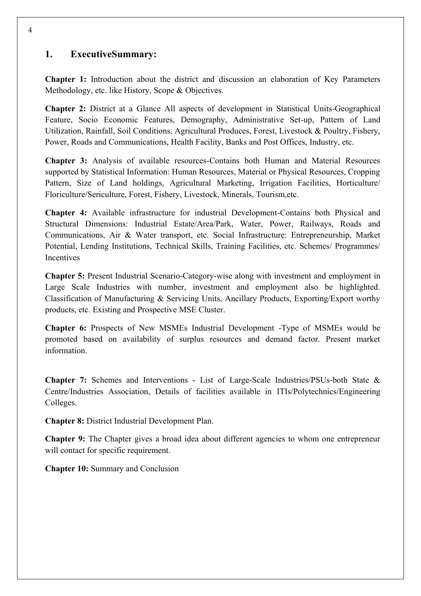## **1. ExecutiveSummary:**

**Chapter 1:** Introduction about the district and discussion an elaboration of Key Parameters Methodology, etc. like History, Scope & Objectives.

**Chapter 2:** District at a Glance All aspects of development in Statistical Units-Geographical Feature, Socio Economic Features, Demography, Administrative Set-up, Pattern of Land Utilization, Rainfall, Soil Conditions, Agricultural Produces, Forest, Livestock & Poultry, Fishery, Power, Roads and Communications, Health Facility, Banks and Post Offices, Industry, etc.

**Chapter 3:** Analysis of available resources-Contains both Human and Material Resources supported by Statistical Information: Human Resources, Material or Physical Resources, Cropping Pattern, Size of Land holdings, Agricultural Marketing, Irrigation Facilities, Horticulture/ Floriculture/Sericulture, Forest, Fishery, Livestock, Minerals, Tourism,etc.

**Chapter 4:** Available infrastructure for industrial Development-Contains both Physical and Structural Dimensions: Industrial Estate/Area/Park, Water, Power, Railways, Roads and Communications, Air & Water transport, etc. Social Infrastructure: Entrepreneurship, Market Potential, Lending Institutions, Technical Skills, Training Facilities, etc. Schemes/ Programmes/ Incentives

**Chapter 5:** Present Industrial Scenario-Category-wise along with investment and employment in Large Scale Industries with number, investment and employment also be highlighted. Classification of Manufacturing & Servicing Units, Ancillary Products, Exporting/Export worthy products, etc. Existing and Prospective MSE Cluster.

**Chapter 6:** Prospects of New MSMEs Industrial Development -Type of MSMEs would be promoted based on availability of surplus resources and demand factor. Present market information.

**Chapter 7:** Schemes and Interventions - List of Large-Scale Industries/PSUs-both State & Centre/Industries Association, Details of facilities available in ITIs/Polytechnics/Engineering Colleges.

**Chapter 8:** District Industrial Development Plan.

**Chapter 9:** The Chapter gives a broad idea about different agencies to whom one entrepreneur will contact for specific requirement.

**Chapter 10:** Summary and Conclusion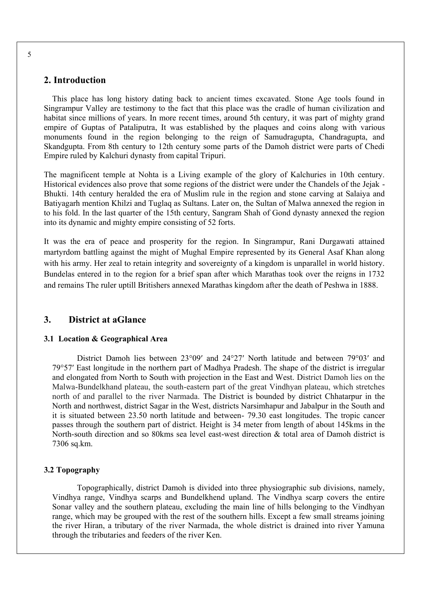#### **2. Introduction**

This place has long history dating back to ancient times excavated. Stone Age tools found in Singrampur Valley are testimony to the fact that this place was the cradle of human civilization and habitat since millions of years. In more recent times, around 5th century, it was part of mighty grand empire of Guptas of Pataliputra, It was established by the plaques and coins along with various monuments found in the region belonging to the reign of Samudragupta, Chandragupta, and Skandgupta. From 8th century to 12th century some parts of the Damoh district were parts of Chedi Empire ruled by Kalchuri dynasty from capital Tripuri.

The magnificent temple at Nohta is a Living example of the glory of Kalchuries in 10th century. Historical evidences also prove that some regions of the district were under the Chandels of the Jejak - Bhukti. 14th century heralded the era of Muslim rule in the region and stone carving at Salaiya and Batiyagarh mention Khilzi and Tuglaq as Sultans. Later on, the Sultan of Malwa annexed the region in to his fold. In the last quarter of the 15th century, Sangram Shah of Gond dynasty annexed the region into its dynamic and mighty empire consisting of 52 forts.

It was the era of peace and prosperity for the region. In Singrampur, Rani Durgawati attained martyrdom battling against the might of Mughal Empire represented by its General Asaf Khan along with his army. Her zeal to retain integrity and sovereignty of a kingdom is unparallel in world history. Bundelas entered in to the region for a brief span after which Marathas took over the reigns in 1732 and remains The ruler uptill Britishers annexed Marathas kingdom after the death of Peshwa in 1888.

#### **3. District at aGlance**

#### **3.1 Location & Geographical Area**

District Damoh lies between 23°09′ and 24°27′ North latitude and between 79°03′ and 79°57′ East longitude in the northern part of Madhya Pradesh. The shape of the district is irregular and elongated from North to South with projection in the East and West. District Damoh lies on the Malwa-Bundelkhand plateau, the south-eastern part of the great Vindhyan plateau, which stretches north of and parallel to the river Narmada. The District is bounded by district Chhatarpur in the North and northwest, district Sagar in the West, districts Narsimhapur and Jabalpur in the South and it is situated between 23.50 north latitude and between- 79.30 east longitudes. The tropic cancer passes through the southern part of district. Height is 34 meter from length of about 145kms in the North-south direction and so 80kms sea level east-west direction & total area of Damoh district is 7306 sq.km.

#### **3.2 Topography**

Topographically, district Damoh is divided into three physiographic sub divisions, namely, Vindhya range, Vindhya scarps and Bundelkhend upland. The Vindhya scarp covers the entire Sonar valley and the southern plateau, excluding the main line of hills belonging to the Vindhyan range, which may be grouped with the rest of the southern hills. Except a few small streams joining the river Hiran, a tributary of the river Narmada, the whole district is drained into river Yamuna through the tributaries and feeders of the river Ken.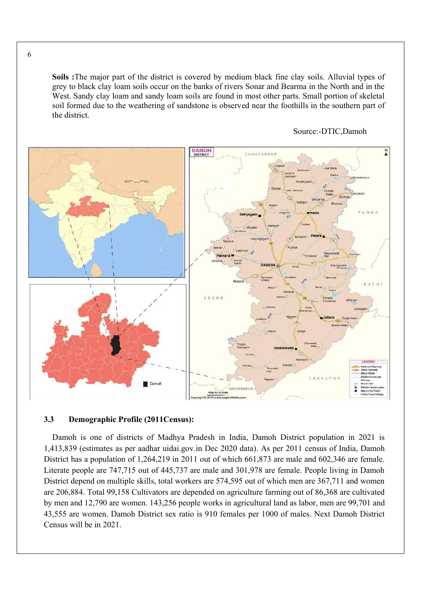**Soils :**The major part of the district is covered by medium black fine clay soils. Alluvial types of grey to black clay loam soils occur on the banks of rivers Sonar and Bearma in the North and in the West. Sandy clay loam and sandy loam soils are found in most other parts. Small portion of skeletal soil formed due to the weathering of sandstone is observed near the foothills in the southern part of the district.



#### Source:-DTIC,Damoh

#### **3.3 Demographic Profile (2011Census):**

Damoh is one of districts of Madhya Pradesh in India, Damoh District population in 2021 is 1,413,839 (estimates as per aadhar uidai.gov.in Dec 2020 data). As per 2011 census of India, Damoh District has a population of 1,264,219 in 2011 out of which 661,873 are male and 602,346 are female. Literate people are 747,715 out of 445,737 are male and 301,978 are female. People living in Damoh District depend on multiple skills, total workers are 574,595 out of which men are 367,711 and women are 206,884. Total 99,158 Cultivators are depended on agriculture farming out of 86,368 are cultivated by men and 12,790 are women. 143,256 people works in agricultural land as labor, men are 99,701 and 43,555 are women. Damoh District sex ratio is 910 females per 1000 of males. Next Damoh District Census will be in 2021.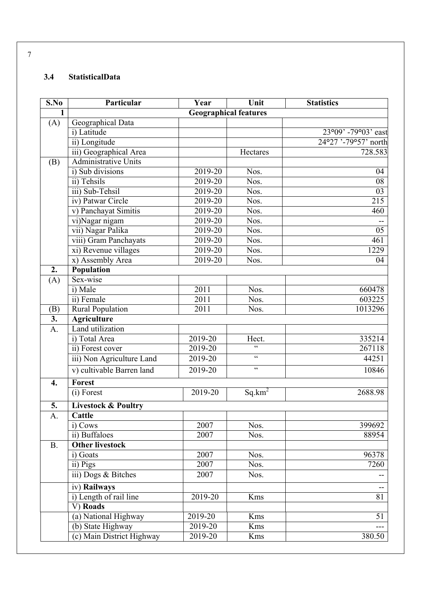## **3.4 StatisticalData**

| S.No               | Particular                     | Year                         | Unit                                              | <b>Statistics</b>     |
|--------------------|--------------------------------|------------------------------|---------------------------------------------------|-----------------------|
| $\mathbf{1}$       |                                | <b>Geographical features</b> |                                                   |                       |
| (A)                | Geographical Data              |                              |                                                   |                       |
|                    | i) Latitude                    |                              |                                                   | $23°09'$ -79°03' east |
|                    | ii) Longitude                  |                              |                                                   | 24°27'-79°57' north   |
|                    | iii) Geographical Area         |                              | Hectares                                          | 728.583               |
| (B)                | <b>Administrative Units</b>    |                              |                                                   |                       |
|                    | i) Sub divisions               | 2019-20                      | Nos.                                              | 04                    |
|                    | ii) Tehsils                    | 2019-20                      | Nos.                                              | 08                    |
|                    | iii) Sub-Tehsil                | 2019-20                      | Nos.                                              | 03                    |
|                    | iv) Patwar Circle              | 2019-20                      | Nos.                                              | 215                   |
|                    | v) Panchayat Simitis           | $2019 - 20$                  | Nos.                                              | 460                   |
|                    | vi)Nagar nigam                 | 2019-20                      | Nos.                                              |                       |
|                    | vii) Nagar Palika              | 2019-20                      | Nos.                                              | 05                    |
|                    | viii) Gram Panchayats          | 2019-20                      | Nos.                                              | 461                   |
|                    | xi) Revenue villages           | 2019-20                      | Nos.                                              | 1229                  |
|                    | x) Assembly Area               | 2019-20                      | Nos.                                              | 04                    |
| $\overline{2}$ .   | Population                     |                              |                                                   |                       |
| (A)                | Sex-wise                       |                              |                                                   |                       |
|                    | i) Male                        | 2011                         | Nos.                                              | 660478                |
|                    | ii) Female                     | 2011                         | Nos.                                              | 603225                |
| (B)                | <b>Rural Population</b>        | 2011                         | Nos.                                              | 1013296               |
| $\overline{3}$ .   | <b>Agriculture</b>             |                              |                                                   |                       |
| A.                 | Land utilization               |                              |                                                   |                       |
|                    | i) Total Area                  | 2019-20                      | Hect.                                             | 335214                |
|                    | ii) Forest cover               | 2019-20                      | $\overline{\mathbf{G}}$                           | 267118                |
|                    | iii) Non Agriculture Land      | 2019-20                      | $\boldsymbol{\zeta}$                              | 44251                 |
|                    | v) cultivable Barren land      | 2019-20                      | $\boldsymbol{\varsigma}$ $\boldsymbol{\varsigma}$ | 10846                 |
| $\boldsymbol{4}$ . | Forest                         |                              |                                                   |                       |
|                    | (i) Forest                     | 2019-20                      | $Sq.km^2$                                         | 2688.98               |
| 5.                 | <b>Livestock &amp; Poultry</b> |                              |                                                   |                       |
| A.                 | Cattle                         |                              |                                                   |                       |
|                    | i) Cows                        | 2007                         | Nos.                                              | 399692                |
|                    | ii) Buffaloes                  | 2007                         | Nos.                                              | 88954                 |
| <b>B.</b>          | <b>Other livestock</b>         |                              |                                                   |                       |
|                    | i) Goats                       | 2007                         | Nos.                                              | 96378                 |
|                    | ii) Pigs                       | 2007                         | Nos.                                              | 7260                  |
|                    | iii) Dogs & Bitches            | 2007                         | Nos.                                              |                       |
|                    | iv) Railways                   |                              |                                                   |                       |
|                    | i) Length of rail line         | 2019-20                      | <b>Kms</b>                                        | $\overline{81}$       |
|                    | V) Roads                       |                              |                                                   |                       |
|                    | (a) National Highway           | 2019-20                      | Kms                                               | 51                    |
|                    | (b) State Highway              | $2019 - 20$                  | Kms                                               |                       |
|                    | (c) Main District Highway      | 2019-20                      | Kms                                               | 380.50                |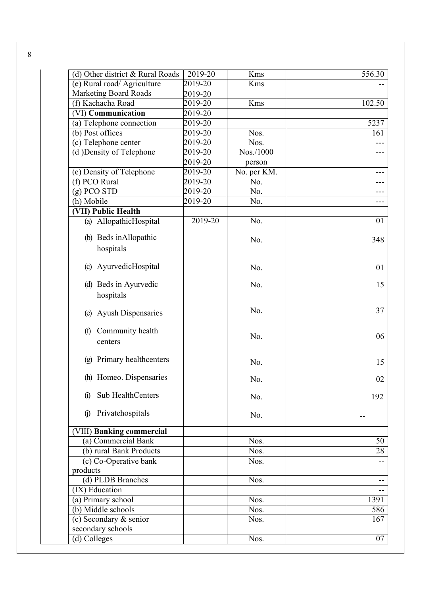| $(d)$ Other district & Rural Roads                 | 2019-20 | Kms          | 556.30                   |
|----------------------------------------------------|---------|--------------|--------------------------|
| (e) Rural road/ Agriculture                        | 2019-20 | Kms          |                          |
| <b>Marketing Board Roads</b>                       | 2019-20 |              |                          |
| (f) Kachacha Road                                  | 2019-20 | Kms          | 102.50                   |
| (VI) Communication                                 | 2019-20 |              |                          |
| (a) Telephone connection                           | 2019-20 |              | 5237                     |
| (b) Post offices                                   | 2019-20 | Nos.         | 161                      |
| (c) Telephone center                               | 2019-20 | Nos.         |                          |
| (d) Density of Telephone                           | 2019-20 | $N$ os./1000 | ---                      |
|                                                    | 2019-20 | person       |                          |
| (e) Density of Telephone                           | 2019-20 | No. per KM.  |                          |
| (f) PCO $\overline{\text{Rural}}$                  | 2019-20 | No.          |                          |
| $(g)$ PCO STD                                      | 2019-20 | No.          |                          |
| (h) Mobile                                         | 2019-20 | No.          | ---                      |
| (VII) Public Health                                |         |              |                          |
| (a) AllopathicHospital                             | 2019-20 | No.          | 01                       |
| (b) Beds in Allopathic                             |         | No.          | 348                      |
| hospitals                                          |         |              |                          |
| AyurvedicHospital<br>$\left( \mathrm{c} \right)$   |         | No.          | 01                       |
|                                                    |         |              |                          |
| (d) Beds in Ayurvedic                              |         | No.          | 15                       |
| hospitals                                          |         |              |                          |
| <b>Ayush Dispensaries</b><br>(e)                   |         | No.          | 37                       |
| Community health<br>(f)                            |         | No.          | 06                       |
| centers                                            |         |              |                          |
| Primary healthcenters<br>$\left( \text{g} \right)$ |         | No.          | 15                       |
| (h) Homeo. Dispensaries                            |         | No.          | 02                       |
| Sub HealthCenters<br>$\Omega$                      |         | No.          | 192                      |
|                                                    |         |              |                          |
| Privatehospitals<br>$\Omega$                       |         | No.          |                          |
| (VIII) Banking commercial                          |         |              |                          |
| (a) Commercial Bank                                |         | Nos.         | 50                       |
| (b) rural Bank Products                            |         | Nos.         | 28                       |
| (c) Co-Operative bank                              |         | Nos.         |                          |
| products                                           |         |              |                          |
| (d) PLDB Branches                                  |         | Nos.         | $\overline{\phantom{m}}$ |
| (IX) Education                                     |         |              |                          |
| $\overline{(a)$ Primary school                     |         | Nos.         | 1391                     |
| (b) Middle schools                                 |         | Nos.         | 586                      |
| (c) Secondary & senior                             |         | Nos.         | $\overline{167}$         |
| secondary schools                                  |         |              |                          |
| (d) Colleges                                       |         | Nos.         | 07                       |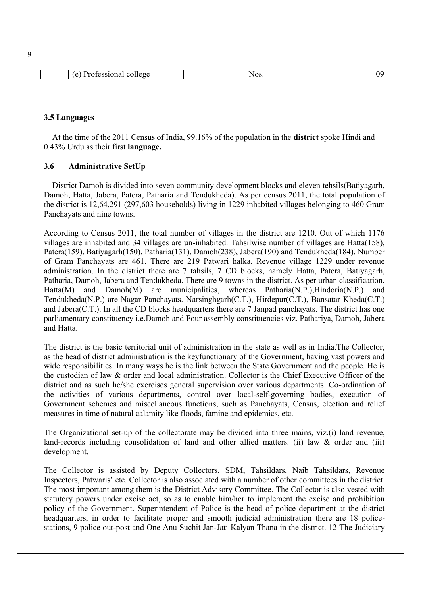| - 25<br>$\mathbf{1}$<br>- 11 | ৲∟∧ৰ<br>NATO. | 1 M |
|------------------------------|---------------|-----|

#### **3.5 Languages**

At the time of the 2011 Census of India, 99.16% of the population in the **district** spoke Hindi and 0.43% Urdu as their first **language.**

#### **3.6 Administrative SetUp**

District Damoh is divided into seven community development blocks and eleven tehsils(Batiyagarh, Damoh, Hatta, Jabera, Patera, Patharia and Tendukheda). As per census 2011, the total population of the district is 12,64,291 (297,603 households) living in 1229 inhabited villages belonging to 460 Gram Panchayats and nine towns.

According to Census 2011, the total number of villages in the district are 1210. Out of which 1176 villages are inhabited and 34 villages are un-inhabited. Tahsilwise number of villages are Hatta(158), Patera(159), Batiyagarh(150), Patharia(131), Damoh(238), Jabera(190) and Tendukheda(184). Number of Gram Panchayats are 461. There are 219 Patwari halka, Revenue village 1229 under revenue administration. In the district there are 7 tahsils, 7 CD blocks, namely Hatta, Patera, Batiyagarh, Patharia, Damoh, Jabera and Tendukheda. There are 9 towns in the district. As per urban classification, Hatta(M) and Damoh(M) are municipalities, whereas Patharia(N.P.), Hindoria(N.P.) and Tendukheda(N.P.) are Nagar Panchayats. Narsinghgarh(C.T.), Hirdepur(C.T.), Bansatar Kheda(C.T.) and Jabera(C.T.). In all the CD blocks headquarters there are 7 Janpad panchayats. The district has one parliamentary constituency i.e.Damoh and Four assembly constituencies viz. Pathariya, Damoh, Jabera and Hatta.

The district is the basic territorial unit of administration in the state as well as in India.The Collector, as the head of district administration is the keyfunctionary of the Government, having vast powers and wide responsibilities. In many ways he is the link between the State Government and the people. He is the custodian of law & order and local administration. Collector is the Chief Executive Officer of the district and as such he/she exercises general supervision over various departments. Co-ordination of the activities of various departments, control over local-self-governing bodies, execution of Government schemes and miscellaneous functions, such as Panchayats, Census, election and relief measures in time of natural calamity like floods, famine and epidemics, etc.

The Organizational set-up of the collectorate may be divided into three mains, viz.(i) land revenue, land-records including consolidation of land and other allied matters. (ii) law & order and (iii) development.

The Collector is assisted by Deputy Collectors, SDM, Tahsildars, Naib Tahsildars, Revenue Inspectors, Patwaris' etc. Collector is also associated with a number of other committees in the district. The most important among them is the District Advisory Committee. The Collector is also vested with statutory powers under excise act, so as to enable him/her to implement the excise and prohibition policy of the Government. Superintendent of Police is the head of police department at the district headquarters, in order to facilitate proper and smooth judicial administration there are 18 policestations, 9 police out-post and One Anu Suchit Jan-Jati Kalyan Thana in the district. 12 The Judiciary

 $\overline{Q}$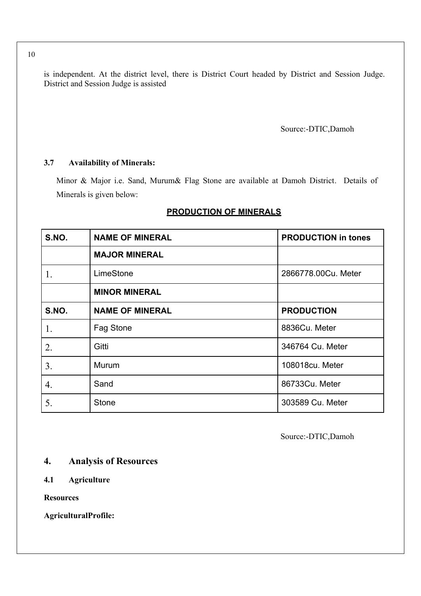is independent. At the district level, there is District Court headed by District and Session Judge. District and Session Judge is assisted

Source:-DTIC,Damoh

#### **3.7 Availability of Minerals:**

Minor & Major i.e. Sand, Murum& Flag Stone are available at Damoh District. Details of Minerals is given below:

| S.NO. | <b>NAME OF MINERAL</b> | <b>PRODUCTION in tones</b> |
|-------|------------------------|----------------------------|
|       | <b>MAJOR MINERAL</b>   |                            |
| 1.    | LimeStone              | 2866778.00Cu. Meter        |
|       | <b>MINOR MINERAL</b>   |                            |
| S.NO. | <b>NAME OF MINERAL</b> | <b>PRODUCTION</b>          |
| 1.    | Fag Stone              | 8836Cu. Meter              |
| 2.    | Gitti                  | 346764 Cu. Meter           |
| 3.    | Murum                  | 108018cu. Meter            |
| 4.    | Sand                   | 86733Cu. Meter             |
| 5.    | <b>Stone</b>           | 303589 Cu. Meter           |

#### **PRODUCTION OF MINERALS**

Source:-DTIC,Damoh

## **4. Analysis of Resources**

## **4.1 Agriculture**

**Resources** 

**AgriculturalProfile:**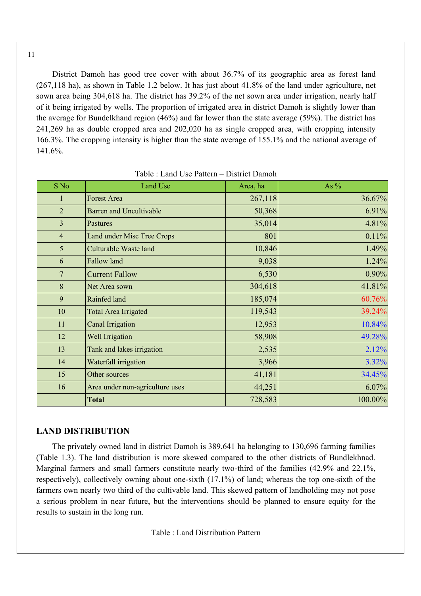District Damoh has good tree cover with about 36.7% of its geographic area as forest land (267,118 ha), as shown in Table 1.2 below. It has just about 41.8% of the land under agriculture, net sown area being 304,618 ha. The district has 39.2% of the net sown area under irrigation, nearly half of it being irrigated by wells. The proportion of irrigated area in district Damoh is slightly lower than the average for Bundelkhand region (46%) and far lower than the state average (59%). The district has 241,269 ha as double cropped area and 202,020 ha as single cropped area, with cropping intensity 166.3%. The cropping intensity is higher than the state average of 155.1% and the national average of 141.6%.

| S No           | Land Use                          | Area, ha | As $%$  |
|----------------|-----------------------------------|----------|---------|
| 1              | <b>Forest Area</b>                | 267,118  | 36.67%  |
| $\overline{2}$ | <b>Barren and Uncultivable</b>    | 50,368   | 6.91%   |
| $\overline{3}$ | Pastures                          | 35,014   | 4.81%   |
| $\overline{4}$ | <b>Land under Misc Tree Crops</b> | 801      | 0.11%   |
| 5              | Culturable Waste land             | 10,846   | 1.49%   |
| 6              | Fallow land                       | 9,038    | 1.24%   |
| $\overline{7}$ | <b>Current Fallow</b>             | 6,530    | 0.90%   |
| 8              | Net Area sown                     | 304,618  | 41.81%  |
| 9              | Rainfed land                      | 185,074  | 60.76%  |
| 10             | <b>Total Area Irrigated</b>       | 119,543  | 39.24%  |
| 11             | Canal Irrigation                  | 12,953   | 10.84%  |
| 12             | Well Irrigation                   | 58,908   | 49.28%  |
| 13             | Tank and lakes irrigation         | 2,535    | 2.12%   |
| 14             | Waterfall irrigation              | 3,966    | 3.32%   |
| 15             | Other sources                     | 41,181   | 34.45%  |
| 16             | Area under non-agriculture uses   | 44,251   | 6.07%   |
|                | <b>Total</b>                      | 728,583  | 100.00% |

Table : Land Use Pattern – District Damoh

#### **LAND DISTRIBUTION**

The privately owned land in district Damoh is 389,641 ha belonging to 130,696 farming families (Table 1.3). The land distribution is more skewed compared to the other districts of Bundlekhnad. Marginal farmers and small farmers constitute nearly two-third of the families (42.9% and 22.1%, respectively), collectively owning about one-sixth (17.1%) of land; whereas the top one-sixth of the farmers own nearly two third of the cultivable land. This skewed pattern of landholding may not pose a serious problem in near future, but the interventions should be planned to ensure equity for the results to sustain in the long run.

Table : Land Distribution Pattern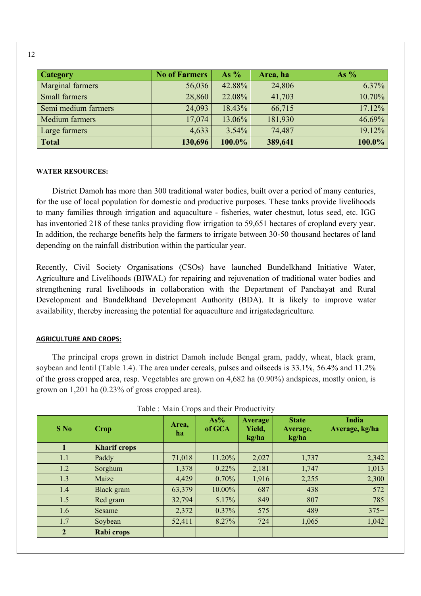| <b>Category</b>     | <b>No of Farmers</b> | As $%$   | Area, ha | As $%$   |
|---------------------|----------------------|----------|----------|----------|
| Marginal farmers    | 56,036               | 42.88%   | 24,806   | $6.37\%$ |
| Small farmers       | 28,860               | 22.08%   | 41,703   | 10.70%   |
| Semi medium farmers | 24,093               | 18.43%   | 66,715   | 17.12%   |
| Medium farmers      | 17,074               | 13.06%   | 181,930  | 46.69%   |
| Large farmers       | 4,633                | $3.54\%$ | 74,487   | 19.12%   |
| <b>Total</b>        | 130,696              | 100.0%   | 389,641  | 100.0%   |

#### **WATER RESOURCES:**

District Damoh has more than 300 traditional water bodies, built over a period of many centuries, for the use of local population for domestic and productive purposes. These tanks provide livelihoods to many families through irrigation and aquaculture - fisheries, water chestnut, lotus seed, etc. IGG has inventoried 218 of these tanks providing flow irrigation to 59,651 hectares of cropland every year. In addition, the recharge benefits help the farmers to irrigate between 30-50 thousand hectares of land depending on the rainfall distribution within the particular year.

Recently, Civil Society Organisations (CSOs) have launched Bundelkhand Initiative Water, Agriculture and Livelihoods (BIWAL) for repairing and rejuvenation of traditional water bodies and strengthening rural livelihoods in collaboration with the Department of Panchayat and Rural Development and Bundelkhand Development Authority (BDA). It is likely to improve water availability, thereby increasing the potential for aquaculture and irrigatedagriculture.

#### **AGRICULTURE AND CROPS:**

The principal crops grown in district Damoh include Bengal gram, paddy, wheat, black gram, soybean and lentil (Table 1.4). The area under cereals, pulses and oilseeds is 33.1%, 56.4% and 11.2% of the gross cropped area, resp. Vegetables are grown on 4,682 ha (0.90%) andspices, mostly onion, is grown on 1,201 ha (0.23% of gross cropped area).

| $S$ No         | Crop                | Area,<br>ha | $As\%$<br>of GCA | <b>Average</b><br>Yield,<br>kg/ha | <b>State</b><br>Average,<br>kg/ha | India<br>Average, kg/ha |
|----------------|---------------------|-------------|------------------|-----------------------------------|-----------------------------------|-------------------------|
|                | <b>Kharif crops</b> |             |                  |                                   |                                   |                         |
| 1.1            | Paddy               | 71,018      | 11.20%           | 2,027                             | 1,737                             | 2,342                   |
| 1.2            | Sorghum             | 1,378       | $0.22\%$         | 2,181                             | 1,747                             | 1,013                   |
| 1.3            | Maize               | 4,429       | 0.70%            | 1,916                             | 2,255                             | 2,300                   |
| 1.4            | Black gram          | 63,379      | 10.00%           | 687                               | 438                               | 572                     |
| 1.5            | Red gram            | 32,794      | 5.17%            | 849                               | 807                               | 785                     |
| 1.6            | <b>Sesame</b>       | 2,372       | $0.37\%$         | 575                               | 489                               | $375+$                  |
| 1.7            | Soybean             | 52,411      | 8.27%            | 724                               | 1,065                             | 1,042                   |
| $\overline{2}$ | Rabi crops          |             |                  |                                   |                                   |                         |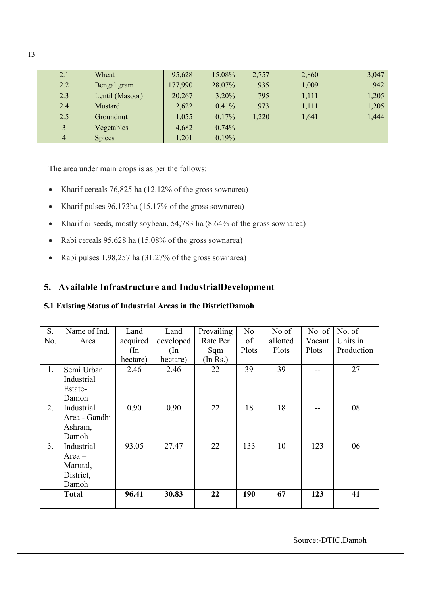| 2.1 | Wheat           | 95,628  | 15.08% | 2,757 | 2,860 | 3,047 |
|-----|-----------------|---------|--------|-------|-------|-------|
| 2.2 | Bengal gram     | 177,990 | 28.07% | 935   | 1,009 | 942   |
| 2.3 | Lentil (Masoor) | 20,267  | 3.20%  | 795   | 1,111 | 1,205 |
| 2.4 | <b>Mustard</b>  | 2,622   | 0.41%  | 973   | 1,111 | 1,205 |
| 2.5 | Groundnut       | 1,055   | 0.17%  | 1,220 | 1,641 | 1,444 |
|     | Vegetables      | 4,682   | 0.74%  |       |       |       |
|     | <b>Spices</b>   | 1,201   | 0.19%  |       |       |       |

The area under main crops is as per the follows:

- Kharif cereals  $76,825$  ha (12.12% of the gross sownarea)
- Kharif pulses  $96,173$ ha (15.17% of the gross sownarea)
- Kharif oilseeds, mostly soybean, 54,783 ha (8.64% of the gross sownarea)
- Rabi cereals 95,628 ha (15.08% of the gross sownarea)
- Rabi pulses 1,98,257 ha (31.27% of the gross sownarea)

## **5. Available Infrastructure and IndustrialDevelopment**

## **5.1 Existing Status of Industrial Areas in the DistrictDamoh**

| S.             | Name of Ind.  | Land          | Land          | Prevailing | N <sub>o</sub> | No of    | No of  | No. of     |
|----------------|---------------|---------------|---------------|------------|----------------|----------|--------|------------|
| No.            | Area          | acquired      | developed     | Rate Per   | of             | allotted | Vacant | Units in   |
|                |               | $(\text{In})$ | $(\text{In})$ | Sqm        | Plots          | Plots    | Plots  | Production |
|                |               | hectare)      | hectare)      | (In Rs.)   |                |          |        |            |
| 1.             | Semi Urban    | 2.46          | 2.46          | 22         | 39             | 39       |        | 27         |
|                | Industrial    |               |               |            |                |          |        |            |
|                | Estate-       |               |               |            |                |          |        |            |
|                | Damoh         |               |               |            |                |          |        |            |
| 2.             | Industrial    | 0.90          | 0.90          | 22         | 18             | 18       |        | 08         |
|                | Area - Gandhi |               |               |            |                |          |        |            |
|                | Ashram,       |               |               |            |                |          |        |            |
|                | Damoh         |               |               |            |                |          |        |            |
| 3 <sub>1</sub> | Industrial    | 93.05         | 27.47         | 22         | 133            | 10       | 123    | 06         |
|                | $Area -$      |               |               |            |                |          |        |            |
|                | Marutal,      |               |               |            |                |          |        |            |
|                | District,     |               |               |            |                |          |        |            |
|                | Damoh         |               |               |            |                |          |        |            |
|                | <b>Total</b>  | 96.41         | 30.83         | 22         | 190            | 67       | 123    | 41         |
|                |               |               |               |            |                |          |        |            |

Source:-DTIC,Damoh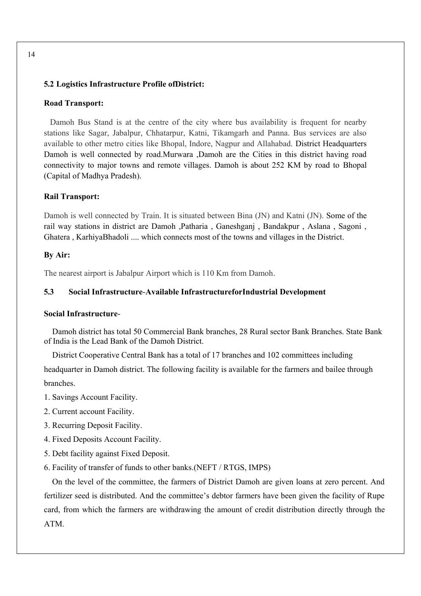#### **5.2 Logistics Infrastructure Profile ofDistrict:**

#### **Road Transport:**

Damoh Bus Stand is at the centre of the city where bus availability is frequent for nearby stations like Sagar, Jabalpur, Chhatarpur, Katni, Tikamgarh and Panna. Bus services are also available to other metro cities like Bhopal, Indore, Nagpur and Allahabad. District Headquarters Damoh is well connected by road.Murwara ,Damoh are the Cities in this district having road connectivity to major towns and remote villages. Damoh is about 252 KM by road to Bhopal (Capital of Madhya Pradesh).

#### **Rail Transport:**

Damoh is well connected by Train. It is situated between Bina (JN) and Katni (JN). Some of the rail way stations in district are Damoh ,Patharia , Ganeshganj , Bandakpur , Aslana , Sagoni , Ghatera , KarhiyaBhadoli .... which connects most of the towns and villages in the District.

#### **By Air:**

The nearest airport is Jabalpur Airport which is 110 Km from Damoh.

#### **5.3 Social Infrastructure**-**Available InfrastructureforIndustrial Development**

#### **Social Infrastructure**-

Damoh district has total 50 Commercial Bank branches, 28 Rural sector Bank Branches. State Bank of India is the Lead Bank of the Damoh District.

District Cooperative Central Bank has a total of 17 branches and 102 committees including headquarter in Damoh district. The following facility is available for the farmers and bailee through branches.

- 1. Savings Account Facility.
- 2. Current account Facility.
- 3. Recurring Deposit Facility.
- 4. Fixed Deposits Account Facility.
- 5. Debt facility against Fixed Deposit.
- 6. Facility of transfer of funds to other banks.(NEFT / RTGS, IMPS)

On the level of the committee, the farmers of District Damoh are given loans at zero percent. And fertilizer seed is distributed. And the committee's debtor farmers have been given the facility of Rupe card, from which the farmers are withdrawing the amount of credit distribution directly through the ATM.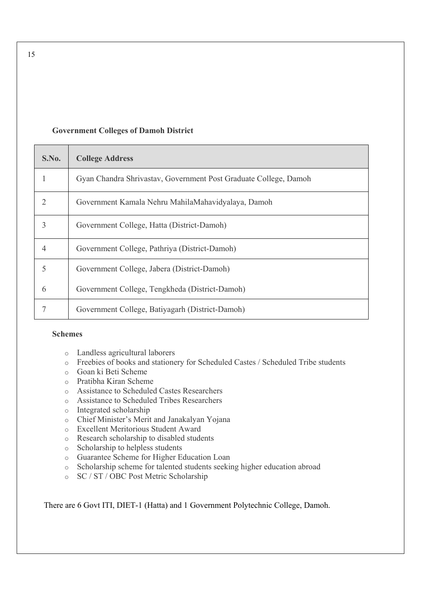#### **Government Colleges of Damoh District**

| S.No. | <b>College Address</b>                                           |
|-------|------------------------------------------------------------------|
|       | Gyan Chandra Shrivastav, Government Post Graduate College, Damoh |
| 2     | Government Kamala Nehru MahilaMahavidyalaya, Damoh               |
| 3     | Government College, Hatta (District-Damoh)                       |
| 4     | Government College, Pathriya (District-Damoh)                    |
| 5     | Government College, Jabera (District-Damoh)                      |
| 6     | Government College, Tengkheda (District-Damoh)                   |
|       | Government College, Batiyagarh (District-Damoh)                  |

#### **Schemes**

- o Landless agricultural laborers
- o Freebies of books and stationery for Scheduled Castes / Scheduled Tribe students
- o Goan ki Beti Scheme
- o Pratibha Kiran Scheme
- o Assistance to Scheduled Castes Researchers
- o Assistance to Scheduled Tribes Researchers
- o Integrated scholarship
- o Chief Minister's Merit and Janakalyan Yojana
- o Excellent Meritorious Student Award
- o Research scholarship to disabled students
- o Scholarship to helpless students
- o Guarantee Scheme for Higher Education Loan
- o Scholarship scheme for talented students seeking higher education abroad
- o SC / ST / OBC Post Metric Scholarship

There are 6 Govt ITI, DIET-1 (Hatta) and 1 Government Polytechnic College, Damoh.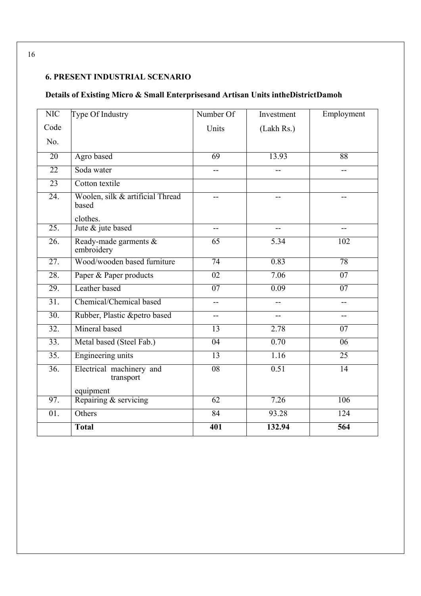# **6. PRESENT INDUSTRIAL SCENARIO**

# **Details of Existing Micro & Small Enterprisesand Artisan Units intheDistrictDamoh**

| <b>NIC</b>        | Type Of Industry                                      | Number Of                | Investment | Employment               |  |
|-------------------|-------------------------------------------------------|--------------------------|------------|--------------------------|--|
| Code              |                                                       | Units                    | (Lakh Rs.) |                          |  |
| No.               |                                                       |                          |            |                          |  |
| $\overline{20}$   | Agro based                                            | 69                       | 13.93      | 88                       |  |
| $\overline{22}$   | Soda water                                            | $-$                      |            | --                       |  |
| 23                | Cotton textile                                        |                          |            |                          |  |
| 24.               | Woolen, silk & artificial Thread<br>based<br>clothes. |                          |            |                          |  |
| 25.               | Jute & jute based                                     | $-$                      |            | $\overline{\phantom{0}}$ |  |
| $\overline{26}$ . | Ready-made garments &<br>embroidery                   | 65                       | 5.34       | $\overline{102}$         |  |
| $\overline{27}$ . | Wood/wooden based furniture                           | $\overline{74}$          | 0.83       | 78                       |  |
| 28.               | Paper & Paper products                                | 02                       | 7.06       | 07                       |  |
| 29.               | Leather based                                         | $\overline{07}$          | 0.09       | $\overline{07}$          |  |
| 31.               | Chemical/Chemical based                               | $\overline{\phantom{a}}$ | $-$        | $-$                      |  |
| $\overline{30}$ . | Rubber, Plastic &petro based                          | $\overline{\phantom{a}}$ | $-$        | $-$                      |  |
| $\overline{32}$ . | Mineral based                                         | $\overline{13}$          | 2.78       | 07                       |  |
| 33.               | Metal based (Steel Fab.)                              | 04                       | 0.70       | $\overline{06}$          |  |
| $\overline{35}$ . | <b>Engineering units</b>                              | $\overline{13}$          | 1.16       | $\overline{25}$          |  |
| $\overline{36}$ . | Electrical machinery and<br>transport                 | 08                       | 0.51       | $\overline{14}$          |  |
|                   | equipment                                             |                          |            |                          |  |
| 97.               | Repairing & servicing                                 | $\overline{62}$          | 7.26       | 106                      |  |
| 01.               | Others                                                | 84                       | 93.28      | 124                      |  |
|                   | <b>Total</b>                                          | $\overline{401}$         | 132.94     | 564                      |  |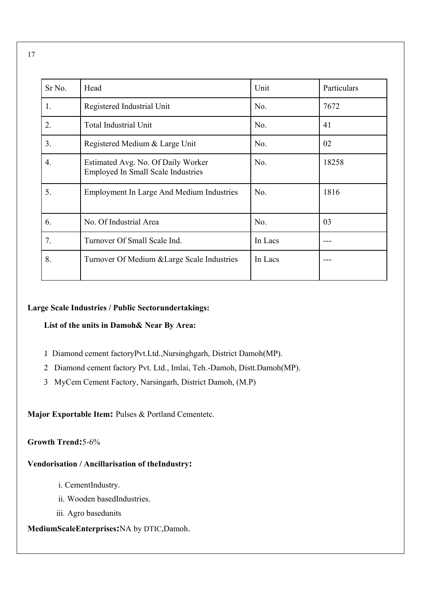| Sr <sub>No.</sub> | Head                                                                            | Unit    | Particulars |
|-------------------|---------------------------------------------------------------------------------|---------|-------------|
| 1.                | Registered Industrial Unit                                                      | No.     | 7672        |
| 2.                | <b>Total Industrial Unit</b>                                                    | No.     | 41          |
| 3.                | Registered Medium & Large Unit                                                  | No.     | 02          |
| 4.                | Estimated Avg. No. Of Daily Worker<br><b>Employed In Small Scale Industries</b> | No.     | 18258       |
| 5.                | <b>Employment In Large And Medium Industries</b>                                | No.     | 1816        |
| 6.                | No. Of Industrial Area                                                          | No.     | 03          |
| 7.                | Turnover Of Small Scale Ind.                                                    | In Lacs |             |
| 8.                | Turnover Of Medium & Large Scale Industries                                     | In Lacs |             |

#### **Large Scale Industries / Public Sectorundertakings:**

#### **List of the units in Damoh& Near By Area:**

- 1. Diamond cement factoryPvt.Ltd.,Nursinghgarh, District Damoh(MP).
- 2. Diamond cement factory Pvt. Ltd., Imlai, Teh.-Damoh, Distt.Damoh(MP).
- 3. MyCem Cement Factory, Narsingarh, District Damoh, (M.P)

**Major Exportable Item:** Pulses & Portland Cementetc.

#### **Growth Trend:**5-6%

#### **Vendorisation / Ancillarisation of theIndustry:**

- i. CementIndustry.
- ii. Wooden basedIndustries.
- iii. Agro basedunits

## **MediumScaleEnterprises:**NA by DTIC,Damoh.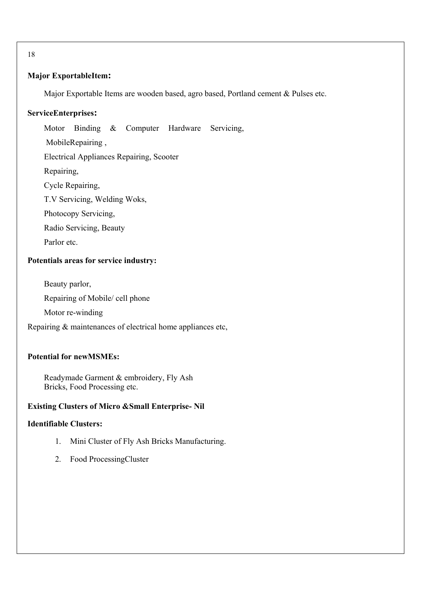#### **Major ExportableItem:**

Major Exportable Items are wooden based, agro based, Portland cement & Pulses etc.

#### **ServiceEnterprises:**

Motor Binding & Computer Hardware Servicing, MobileRepairing ,

Electrical Appliances Repairing, Scooter

Repairing,

Cycle Repairing,

T.V Servicing, Welding Woks,

Photocopy Servicing,

Radio Servicing, Beauty

Parlor etc.

#### **Potentials areas for service industry:**

Beauty parlor,

Repairing of Mobile/ cell phone

Motor re-winding

Repairing & maintenances of electrical home appliances etc,

## **Potential for newMSMEs:**

Readymade Garment & embroidery, Fly Ash Bricks, Food Processing etc.

## **Existing Clusters of Micro &Small Enterprise- Nil**

#### **Identifiable Clusters:**

- 1. Mini Cluster of Fly Ash Bricks Manufacturing.
- 2. Food ProcessingCluster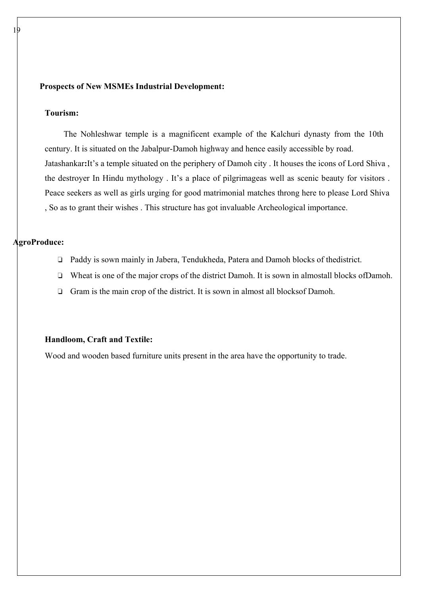#### **Prospects of New MSMEs Industrial Development:**

#### **Tourism:**

19

The Nohleshwar temple is a magnificent example of the Kalchuri dynasty from the 10th century. It is situated on the Jabalpur-Damoh highway and hence easily accessible by road. Jatashankar**:**It's a temple situated on the periphery of Damoh city . It houses the icons of Lord Shiva , the destroyer In Hindu mythology . It's a place of pilgrimageas well as scenic beauty for visitors . Peace seekers as well as girls urging for good matrimonial matches throng here to please Lord Shiva , So as to grant their wishes . This structure has got invaluable Archeological importance.

#### **AgroProduce:**

- ❏ Paddy is sown mainly in Jabera, Tendukheda, Patera and Damoh blocks of thedistrict.
- ❏ Wheat is one of the major crops of the district Damoh. It is sown in almostall blocks ofDamoh.
- ❏ Gram is the main crop of the district. It is sown in almost all blocksof Damoh.

#### **Handloom, Craft and Textile:**

Wood and wooden based furniture units present in the area have the opportunity to trade.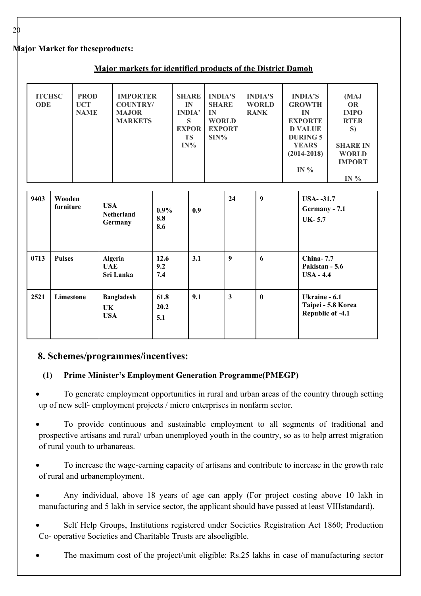## **Major Market for theseproducts:**

| Major markets for identified products of the District Damoh |  |  |  |
|-------------------------------------------------------------|--|--|--|
|                                                             |  |  |  |

| <b>ITCHSC</b><br><b>ODE</b>                  |                             | <b>PROD</b><br><b>UCT</b><br><b>NAME</b> |                                            | <b>IMPORTER</b><br><b>COUNTRY/</b><br><b>MAJOR</b><br><b>MARKETS</b> |                       |  | <b>SHARE</b><br>IN<br><b>INDIA'</b><br>S<br><b>EXPOR</b><br><b>TS</b><br>$IN\%$ | <b>INDIA'S</b><br><b>SHARE</b><br>IN<br><b>WORLD</b><br><b>EXPORT</b><br>$SIN\%$ |          |   | <b>INDIA'S</b><br><b>WORLD</b><br><b>RANK</b> |                                                   | <b>INDIA'S</b><br><b>GROWTH</b><br>IN<br><b>EXPORTE</b><br><b>D VALUE</b><br><b>DURING 5</b><br><b>YEARS</b><br>$(2014 - 2018)$<br>IN $%$ | (MAJ<br><b>OR</b><br><b>IMPO</b><br><b>RTER</b><br>S)<br><b>SHARE IN</b><br><b>WORLD</b><br><b>IMPORT</b><br>IN $%$ |
|----------------------------------------------|-----------------------------|------------------------------------------|--------------------------------------------|----------------------------------------------------------------------|-----------------------|--|---------------------------------------------------------------------------------|----------------------------------------------------------------------------------|----------|---|-----------------------------------------------|---------------------------------------------------|-------------------------------------------------------------------------------------------------------------------------------------------|---------------------------------------------------------------------------------------------------------------------|
| 9403                                         | Wooden<br>furniture         |                                          | <b>USA</b>                                 | <b>Netherland</b><br>Germany                                         | $0.9\%$<br>8.8<br>8.6 |  | 0.9                                                                             |                                                                                  | 24       |   | 9                                             |                                                   | <b>USA--31.7</b><br>Germany - 7.1<br>$UK-5.7$                                                                                             |                                                                                                                     |
| 0713                                         | <b>Pulses</b><br><b>UAE</b> |                                          | 12.6<br>Algeria<br>9.2<br>Sri Lanka<br>7.4 |                                                                      | 3.1                   |  |                                                                                 | 9                                                                                |          | 6 |                                               | <b>China-7.7</b><br>Pakistan - 5.6<br>$USA - 4.4$ |                                                                                                                                           |                                                                                                                     |
| 2521<br>Limestone<br><b>UK</b><br><b>USA</b> |                             | <b>Bangladesh</b>                        | 61.8<br>20.2<br>5.1                        |                                                                      | 9.1                   |  | $\overline{\mathbf{3}}$                                                         |                                                                                  | $\bf{0}$ |   | Ukraine - 6.1<br>Republic of -4.1             | Taipei - 5.8 Korea                                |                                                                                                                                           |                                                                                                                     |

# **8. Schemes/programmes/incentives:**

# **(1) Prime Minister's Employment Generation Programme(PMEGP)**

 To generate employment opportunities in rural and urban areas of the country through setting up of new self- employment projects / micro enterprises in nonfarm sector.

 To provide continuous and sustainable employment to all segments of traditional and prospective artisans and rural/ urban unemployed youth in the country, so as to help arrest migration of rural youth to urbanareas.

 To increase the wage-earning capacity of artisans and contribute to increase in the growth rate of rural and urbanemployment.

- Any individual, above 18 years of age can apply (For project costing above 10 lakh in manufacturing and 5 lakh in service sector, the applicant should have passed at least VIIIstandard).
- Self Help Groups, Institutions registered under Societies Registration Act 1860; Production Co- operative Societies and Charitable Trusts are alsoeligible.
- The maximum cost of the project/unit eligible: Rs.25 lakhs in case of manufacturing sector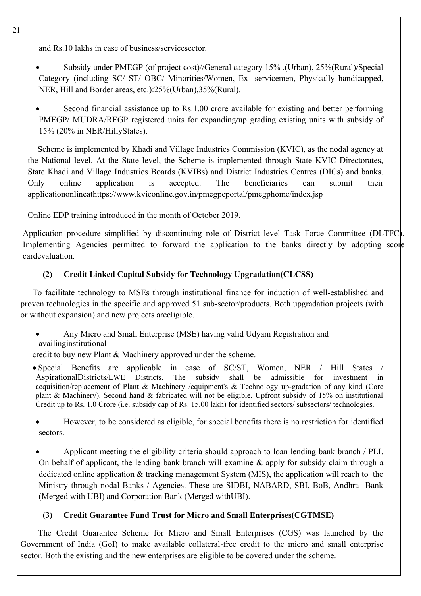and Rs.10 lakhs in case of business/servicesector.

- Subsidy under PMEGP (of project cost)//General category 15% .(Urban), 25%(Rural)/Special Category (including SC/ ST/ OBC/ Minorities/Women, Ex- servicemen, Physically handicapped, NER, Hill and Border areas, etc.):25%(Urban),35%(Rural).
- Second financial assistance up to Rs.1.00 crore available for existing and better performing PMEGP/ MUDRA/REGP registered units for expanding/up grading existing units with subsidy of 15% (20% in NER/HillyStates).

Scheme is implemented by Khadi and Village Industries Commission (KVIC), as the nodal agency at the National level. At the State level, the Scheme is implemented through State KVIC Directorates, State Khadi and Village Industries Boards (KVIBs) and District Industries Centres (DICs) and banks. Only online application is accepted. The beneficiaries can submit their applicationonlineathttps://www.kviconline.gov.in/pmegpeportal/pmegphome/index.jsp

Online EDP training introduced in the month of October 2019.

Application procedure simplified by discontinuing role of District level Task Force Committee (DLTFC). Implementing Agencies permitted to forward the application to the banks directly by adopting score cardevaluation.

## **(2) Credit Linked Capital Subsidy for Technology Upgradation(CLCSS)**

To facilitate technology to MSEs through institutional finance for induction of well-established and proven technologies in the specific and approved 51 sub-sector/products. Both upgradation projects (with or without expansion) and new projects areeligible.

 Any Micro and Small Enterprise (MSE) having valid Udyam Registration and availinginstitutional

credit to buy new Plant & Machinery approved under the scheme.

 Special Benefits are applicable in case of SC/ST, Women, NER / Hill States / AspirationalDistricts/LWE Districts. The subsidy shall be admissible for investment in acquisition/replacement of Plant & Machinery /equipment's & Technology up-gradation of any kind (Core plant & Machinery). Second hand & fabricated will not be eligible. Upfront subsidy of 15% on institutional Credit up to Rs. 1.0 Crore (i.e. subsidy cap of Rs. 15.00 lakh) for identified sectors/ subsectors/ technologies.

 However, to be considered as eligible, for special benefits there is no restriction for identified sectors.

 Applicant meeting the eligibility criteria should approach to loan lending bank branch / PLI. On behalf of applicant, the lending bank branch will examine  $\&$  apply for subsidy claim through a dedicated online application & tracking management System (MIS), the application will reach to the Ministry through nodal Banks / Agencies. These are SIDBI, NABARD, SBI, BoB, Andhra Bank (Merged with UBI) and Corporation Bank (Merged withUBI).

## **(3) Credit Guarantee Fund Trust for Micro and Small Enterprises(CGTMSE)**

The Credit Guarantee Scheme for Micro and Small Enterprises (CGS) was launched by the Government of India (GoI) to make available collateral-free credit to the micro and small enterprise sector. Both the existing and the new enterprises are eligible to be covered under the scheme.

 $\mathcal{D}$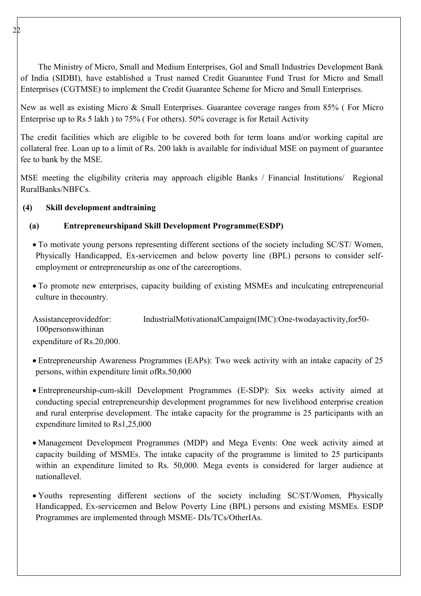The Ministry of Micro, Small and Medium Enterprises, GoI and Small Industries Development Bank of India (SIDBI), have established a Trust named Credit Guarantee Fund Trust for Micro and Small Enterprises (CGTMSE) to implement the Credit Guarantee Scheme for Micro and Small Enterprises.

New as well as existing Micro & Small Enterprises. Guarantee coverage ranges from 85% ( For Micro Enterprise up to Rs 5 lakh ) to 75% ( For others). 50% coverage is for Retail Activity

The credit facilities which are eligible to be covered both for term loans and/or working capital are collateral free. Loan up to a limit of Rs. 200 lakh is available for individual MSE on payment of guarantee fee to bank by the MSE.

MSE meeting the eligibility criteria may approach eligible Banks / Financial Institutions/ Regional RuralBanks/NBFCs.

## **(4) Skill development andtraining**

## **(a) Entrepreneurshipand Skill Development Programme(ESDP)**

- To motivate young persons representing different sections of the society including SC/ST/ Women, Physically Handicapped, Ex-servicemen and below poverty line (BPL) persons to consider selfemployment or entrepreneurship as one of the careeroptions.
- To promote new enterprises, capacity building of existing MSMEs and inculcating entrepreneurial culture in thecountry.

Assistanceprovidedfor: IndustrialMotivationalCampaign(IMC):One-twodayactivity,for50-100personswithinan

expenditure of Rs.20,000.

- Entrepreneurship Awareness Programmes (EAPs): Two week activity with an intake capacity of 25 persons, within expenditure limit ofRs.50,000
- Entrepreneurship-cum-skill Development Programmes (E-SDP): Six weeks activity aimed at conducting special entrepreneurship development programmes for new livelihood enterprise creation and rural enterprise development. The intake capacity for the programme is 25 participants with an expenditure limited to Rs1,25,000
- Management Development Programmes (MDP) and Mega Events: One week activity aimed at capacity building of MSMEs. The intake capacity of the programme is limited to 25 participants within an expenditure limited to Rs. 50,000. Mega events is considered for larger audience at nationallevel.
- Youths representing different sections of the society including SC/ST/Women, Physically Handicapped, Ex-servicemen and Below Poverty Line (BPL) persons and existing MSMEs. ESDP Programmes are implemented through MSME- DIs/TCs/OtherIAs.

 $2<sub>2</sub>$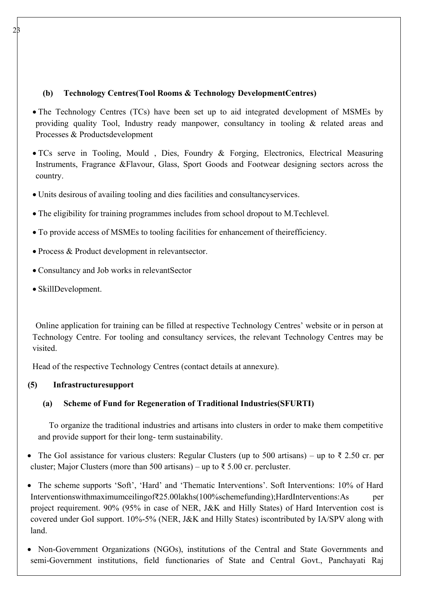## **(b) Technology Centres(Tool Rooms & Technology DevelopmentCentres)**

- The Technology Centres (TCs) have been set up to aid integrated development of MSMEs by providing quality Tool, Industry ready manpower, consultancy in tooling & related areas and Processes & Productsdevelopment
- TCs serve in Tooling, Mould , Dies, Foundry & Forging, Electronics, Electrical Measuring Instruments, Fragrance &Flavour, Glass, Sport Goods and Footwear designing sectors across the country.
- Units desirous of availing tooling and dies facilities and consultancyservices.
- The eligibility for training programmes includes from school dropout to M.Techlevel.
- To provide access of MSMEs to tooling facilities for enhancement of theirefficiency.
- Process & Product development in relevantsector.
- Consultancy and Job works in relevantSector
- SkillDevelopment.

Online application for training can be filled at respective Technology Centres' website or in person at Technology Centre. For tooling and consultancy services, the relevant Technology Centres may be visited.

Head of the respective Technology Centres (contact details at annexure).

## **(5) Infrastructuresupport**

## **(a) Scheme of Fund for Regeneration of Traditional Industries(SFURTI)**

To organize the traditional industries and artisans into clusters in order to make them competitive and provide support for their long- term sustainability.

The GoI assistance for various clusters: Regular Clusters (up to 500 artisans) – up to  $\bar{\xi}$  2.50 cr. per cluster; Major Clusters (more than 500 artisans) – up to  $\bar{\tau}$  5.00 cr. percluster.

 The scheme supports 'Soft', 'Hard' and 'Thematic Interventions'. Soft Interventions: 10% of Hard Interventionswithmaximumceilingof₹25.00lakhs(100%schemefunding);HardInterventions:As per project requirement. 90% (95% in case of NER, J&K and Hilly States) of Hard Intervention cost is covered under GoI support. 10%-5% (NER, J&K and Hilly States) iscontributed by IA/SPV along with land.

 Non-Government Organizations (NGOs), institutions of the Central and State Governments and semi-Government institutions, field functionaries of State and Central Govt., Panchayati Raj

 $23$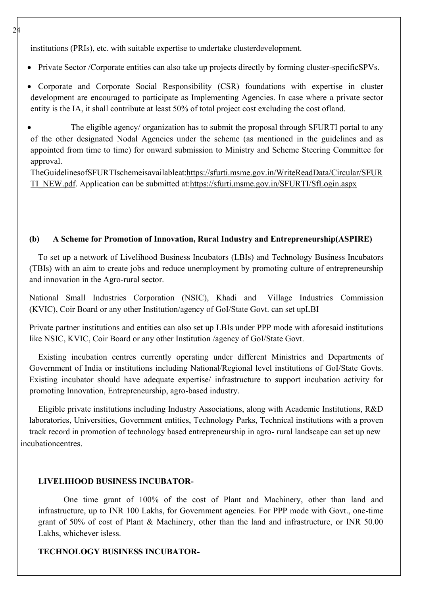institutions (PRIs), etc. with suitable expertise to undertake clusterdevelopment.

- Private Sector /Corporate entities can also take up projects directly by forming cluster-specificSPVs.
- Corporate and Corporate Social Responsibility (CSR) foundations with expertise in cluster development are encouraged to participate as Implementing Agencies. In case where a private sector entity is the IA, it shall contribute at least 50% of total project cost excluding the cost ofland.
- The eligible agency/ organization has to submit the proposal through SFURTI portal to any of the other designated Nodal Agencies under the scheme (as mentioned in the guidelines and as appointed from time to time) for onward submission to Ministry and Scheme Steering Committee for approval.

TheGuidelinesofSFURTIschemeisavailableat:https://sfurti.msme.gov.in/WriteReadData/Circular/SFUR TI\_NEW.pdf. Application can be submitted at:https://sfurti.msme.gov.in/SFURTI/SfLogin.aspx

#### **(b) A Scheme for Promotion of Innovation, Rural Industry and Entrepreneurship(ASPIRE)**

To set up a network of Livelihood Business Incubators (LBIs) and Technology Business Incubators (TBIs) with an aim to create jobs and reduce unemployment by promoting culture of entrepreneurship and innovation in the Agro-rural sector.

National Small Industries Corporation (NSIC), Khadi and Village Industries Commission (KVIC), Coir Board or any other Institution/agency of GoI/State Govt. can set upLBI

Private partner institutions and entities can also set up LBIs under PPP mode with aforesaid institutions like NSIC, KVIC, Coir Board or any other Institution /agency of GoI/State Govt.

Existing incubation centres currently operating under different Ministries and Departments of Government of India or institutions including National/Regional level institutions of GoI/State Govts. Existing incubator should have adequate expertise/ infrastructure to support incubation activity for promoting Innovation, Entrepreneurship, agro-based industry.

Eligible private institutions including Industry Associations, along with Academic Institutions, R&D laboratories, Universities, Government entities, Technology Parks, Technical institutions with a proven track record in promotion of technology based entrepreneurship in agro- rural landscape can set up new incubationcentres.

#### **LIVELIHOOD BUSINESS INCUBATOR-**

One time grant of 100% of the cost of Plant and Machinery, other than land and infrastructure, up to INR 100 Lakhs, for Government agencies. For PPP mode with Govt., one-time grant of 50% of cost of Plant & Machinery, other than the land and infrastructure, or INR 50.00 Lakhs, whichever isless.

## **TECHNOLOGY BUSINESS INCUBATOR-**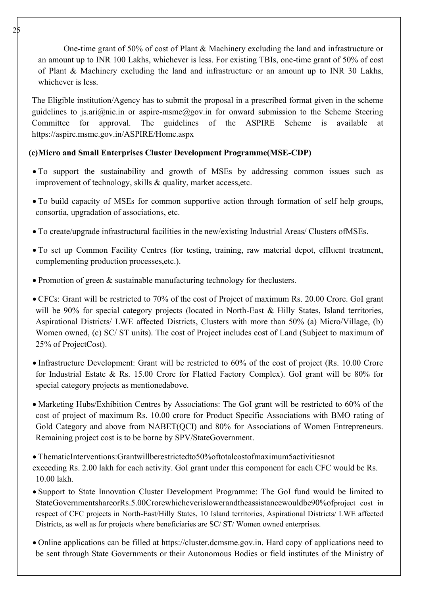One-time grant of 50% of cost of Plant & Machinery excluding the land and infrastructure or an amount up to INR 100 Lakhs, whichever is less. For existing TBIs, one-time grant of 50% of cost of Plant & Machinery excluding the land and infrastructure or an amount up to INR 30 Lakhs, whichever is less.

The Eligible institution/Agency has to submit the proposal in a prescribed format given in the scheme guidelines to js.ari@nic.in or aspire-msme@gov.in for onward submission to the Scheme Steering Committee for approval. The guidelines of the ASPIRE Scheme is available at https://aspire.msme.gov.in/ASPIRE/Home.aspx

## **(c)Micro and Small Enterprises Cluster Development Programme(MSE-CDP)**

- To support the sustainability and growth of MSEs by addressing common issues such as improvement of technology, skills & quality, market access,etc.
- To build capacity of MSEs for common supportive action through formation of self help groups, consortia, upgradation of associations, etc.
- To create/upgrade infrastructural facilities in the new/existing Industrial Areas/ Clusters ofMSEs.
- To set up Common Facility Centres (for testing, training, raw material depot, effluent treatment, complementing production processes,etc.).
- Promotion of green & sustainable manufacturing technology for the clusters.
- CFCs: Grant will be restricted to 70% of the cost of Project of maximum Rs. 20.00 Crore. GoI grant will be 90% for special category projects (located in North-East & Hilly States, Island territories, Aspirational Districts/ LWE affected Districts, Clusters with more than 50% (a) Micro/Village, (b) Women owned, (c) SC/ ST units). The cost of Project includes cost of Land (Subject to maximum of 25% of ProjectCost).
- Infrastructure Development: Grant will be restricted to 60% of the cost of project (Rs. 10.00 Crore for Industrial Estate & Rs. 15.00 Crore for Flatted Factory Complex). GoI grant will be 80% for special category projects as mentionedabove.
- Marketing Hubs/Exhibition Centres by Associations: The GoI grant will be restricted to 60% of the cost of project of maximum Rs. 10.00 crore for Product Specific Associations with BMO rating of Gold Category and above from NABET(OCI) and 80% for Associations of Women Entrepreneurs. Remaining project cost is to be borne by SPV/StateGovernment.
- ThematicInterventions:Grantwillberestrictedto50%oftotalcostofmaximum5activitiesnot exceeding Rs. 2.00 lakh for each activity. GoI grant under this component for each CFC would be Rs. 10.00 lakh.
- Support to State Innovation Cluster Development Programme: The GoI fund would be limited to StateGovernmentshareorRs.5.00Crorewhicheverislowerandtheassistancewouldbe90%ofproject cost in respect of CFC projects in North-East/Hilly States, 10 Island territories, Aspirational Districts/ LWE affected Districts, as well as for projects where beneficiaries are SC/ ST/ Women owned enterprises.
- Online applications can be filled at https://cluster.dcmsme.gov.in. Hard copy of applications need to be sent through State Governments or their Autonomous Bodies or field institutes of the Ministry of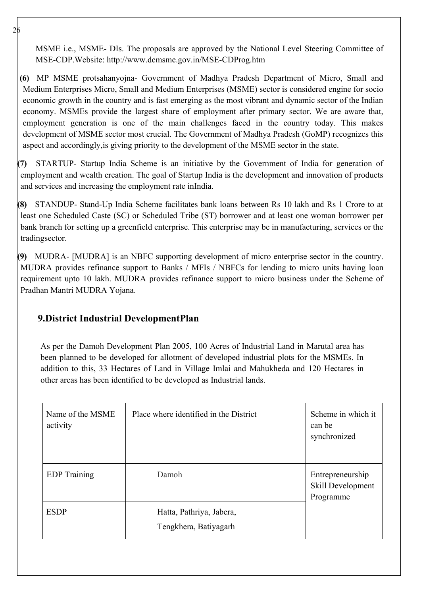MSME i.e., MSME- DIs. The proposals are approved by the National Level Steering Committee of MSE-CDP.Website: http://www.dcmsme.gov.in/MSE-CDProg.htm

**(6)** MP MSME protsahanyojna- Government of Madhya Pradesh Department of Micro, Small and Medium Enterprises Micro, Small and Medium Enterprises (MSME) sector is considered engine for socio economic growth in the country and is fast emerging as the most vibrant and dynamic sector of the Indian economy. MSMEs provide the largest share of employment after primary sector. We are aware that, employment generation is one of the main challenges faced in the country today. This makes development of MSME sector most crucial. The Government of Madhya Pradesh (GoMP) recognizes this aspect and accordingly,is giving priority to the development of the MSME sector in the state.

**(7)** STARTUP- Startup India Scheme is an initiative by the Government of India for generation of employment and wealth creation. The goal of Startup India is the development and innovation of products and services and increasing the employment rate inIndia.

**(8)** STANDUP- Stand-Up India Scheme facilitates bank loans between Rs 10 lakh and Rs 1 Crore to at least one Scheduled Caste (SC) or Scheduled Tribe (ST) borrower and at least one woman borrower per bank branch for setting up a greenfield enterprise. This enterprise may be in manufacturing, services or the tradingsector.

**(9)** MUDRA- [MUDRA] is an NBFC supporting development of micro enterprise sector in the country. MUDRA provides refinance support to Banks / MFIs / NBFCs for lending to micro units having loan requirement upto 10 lakh. MUDRA provides refinance support to micro business under the Scheme of Pradhan Mantri MUDRA Yojana.

# **9.District Industrial DevelopmentPlan**

As per the Damoh Development Plan 2005, 100 Acres of Industrial Land in Marutal area has been planned to be developed for allotment of developed industrial plots for the MSMEs. In addition to this, 33 Hectares of Land in Village Imlai and Mahukheda and 120 Hectares in other areas has been identified to be developed as Industrial lands.

| Name of the MSME<br>activity | Place where identified in the District            | Scheme in which it<br>can be<br>synchronized       |
|------------------------------|---------------------------------------------------|----------------------------------------------------|
| <b>EDP</b> Training          | Damoh                                             | Entrepreneurship<br>Skill Development<br>Programme |
| <b>ESDP</b>                  | Hatta, Pathriya, Jabera,<br>Tengkhera, Batiyagarh |                                                    |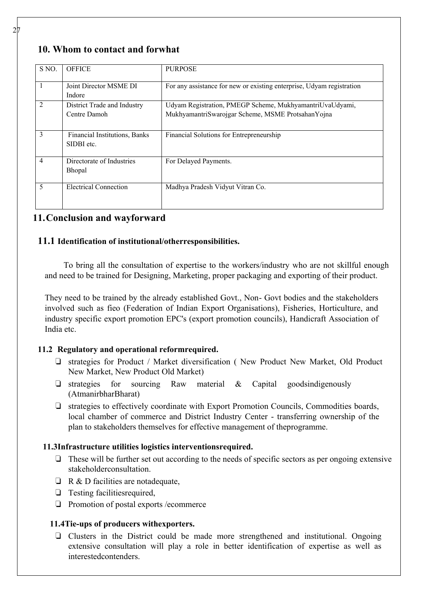# **10. Whom to contact and forwhat**

| S NO.          | <b>OFFICE</b>                               | <b>PURPOSE</b>                                                        |
|----------------|---------------------------------------------|-----------------------------------------------------------------------|
|                | Joint Director MSME DI                      | For any assistance for new or existing enterprise, Udyam registration |
|                | Indore                                      |                                                                       |
| 2              | District Trade and Industry                 | Udyam Registration, PMEGP Scheme, MukhyamantriUvaUdyami,              |
|                | Centre Damoh                                | MukhyamantriSwarojgar Scheme, MSME ProtsahanYojna                     |
| 3              | Financial Institutions, Banks<br>SIDBI etc. | Financial Solutions for Entrepreneurship                              |
| $\overline{4}$ | Directorate of Industries<br><b>Bhopal</b>  | For Delayed Payments.                                                 |
| 5              | <b>Electrical Connection</b>                | Madhya Pradesh Vidyut Vitran Co.                                      |

## **11.Conclusion and wayforward**

## **11.1 Identification of institutional/otherresponsibilities.**

To bring all the consultation of expertise to the workers/industry who are not skillful enough and need to be trained for Designing, Marketing, proper packaging and exporting of their product.

They need to be trained by the already established Govt., Non- Govt bodies and the stakeholders involved such as fieo (Federation of Indian Export Organisations), Fisheries, Horticulture, and industry specific export promotion EPC's (export promotion councils), Handicraft Association of India etc.

## **11.2 Regulatory and operational reformrequired.**

- ❏ strategies for Product / Market diversification ( New Product New Market, Old Product New Market, New Product Old Market)
- ❏ strategies for sourcing Raw material & Capital goodsindigenously (AtmanirbharBharat)
- ❏ strategies to effectively coordinate with Export Promotion Councils, Commodities boards, local chamber of commerce and District Industry Center - transferring ownership of the plan to stakeholders themselves for effective management of theprogramme.

## **11.3Infrastructure utilities logistics interventionsrequired.**

- ❏ These will be further set out according to the needs of specific sectors as per ongoing extensive stakeholderconsultation.
- $\Box$  R & D facilities are notadequate,
- ❏ Testing facilitiesrequired,
- ❏ Promotion of postal exports /ecommerce

## **11.4Tie-ups of producers withexporters.**

❏ Clusters in the District could be made more strengthened and institutional. Ongoing extensive consultation will play a role in better identification of expertise as well as interestedcontenders.

 $\mathcal{D}$